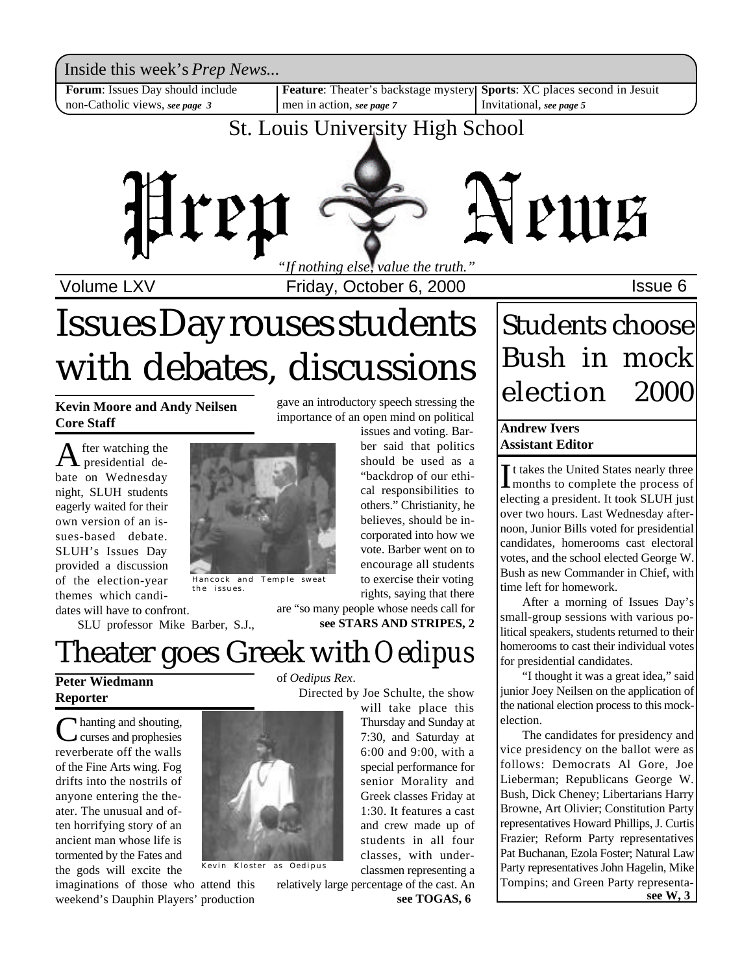Inside this week's *Prep News*...

**Forum**: Issues Day should include non-Catholic views, *see page 3*

men in action, *see page 7*

**Feature**: Theater's backstage mystery **Sports**: XC places second in Jesuit Invitational, *see page 5*

### St. Louis University High School



Volume LXV **Internal Contract Friday, October 6, 2000 ISSUE 6** 

gave an introductory speech stressing the importance of an open mind on political

> issues and voting. Barber said that politics should be used as a "backdrop of our ethical responsibilities to others." Christianity, he believes, should be incorporated into how we

# Issues Day rouses students with debates, discussions

**Kevin Moore and Andy Neilsen Core Staff**

 $A$  fter watching the<br>presidential defter watching the bate on Wednesday night, SLUH students eagerly waited for their own version of an issues-based debate. SLUH's Issues Day provided a discussion of the election-year themes which candidates will have to confront.

Hancock and Temple sweat the issues.

SLU professor Mike Barber, S.J.,

# Theater goes Greek with *Oedipus*

**Peter Wiedmann Reporter**

C hanting and shouting, curses and prophesies reverberate off the walls of the Fine Arts wing. Fog drifts into the nostrils of anyone entering the theater. The unusual and often horrifying story of an ancient man whose life is tormented by the Fates and the gods will excite the



of *Oedipus Rex*.



Kevin Kloster as Oedipus

Directed by Joe Schulte, the show will take place this

Thursday and Sunday at 7:30, and Saturday at 6:00 and 9:00, with a special performance for senior Morality and Greek classes Friday at 1:30. It features a cast and crew made up of students in all four classes, with under-

classmen representing a relatively large percentage of the cast. An

## Students choose Bush in mock election 2000

#### **Andrew Ivers Assistant Editor**

It takes the United States nearly three<br>
months to complete the process of If takes the United States nearly three electing a president. It took SLUH just over two hours. Last Wednesday afternoon, Junior Bills voted for presidential candidates, homerooms cast electoral votes, and the school elected George W. Bush as new Commander in Chief, with time left for homework.

After a morning of Issues Day's small-group sessions with various political speakers, students returned to their homerooms to cast their individual votes for presidential candidates.

"I thought it was a great idea," said junior Joey Neilsen on the application of the national election process to this mockelection.

The candidates for presidency and vice presidency on the ballot were as follows: Democrats Al Gore, Joe Lieberman; Republicans George W. Bush, Dick Cheney; Libertarians Harry Browne, Art Olivier; Constitution Party representatives Howard Phillips, J. Curtis Frazier; Reform Party representatives Pat Buchanan, Ezola Foster; Natural Law Party representatives John Hagelin, Mike Tompins; and Green Party representa**see TOGAS, 6 see W, 3** 

**see STARS AND STRIPES, 2** vote. Barber went on to encourage all students to exercise their voting rights, saying that there are "so many people whose needs call for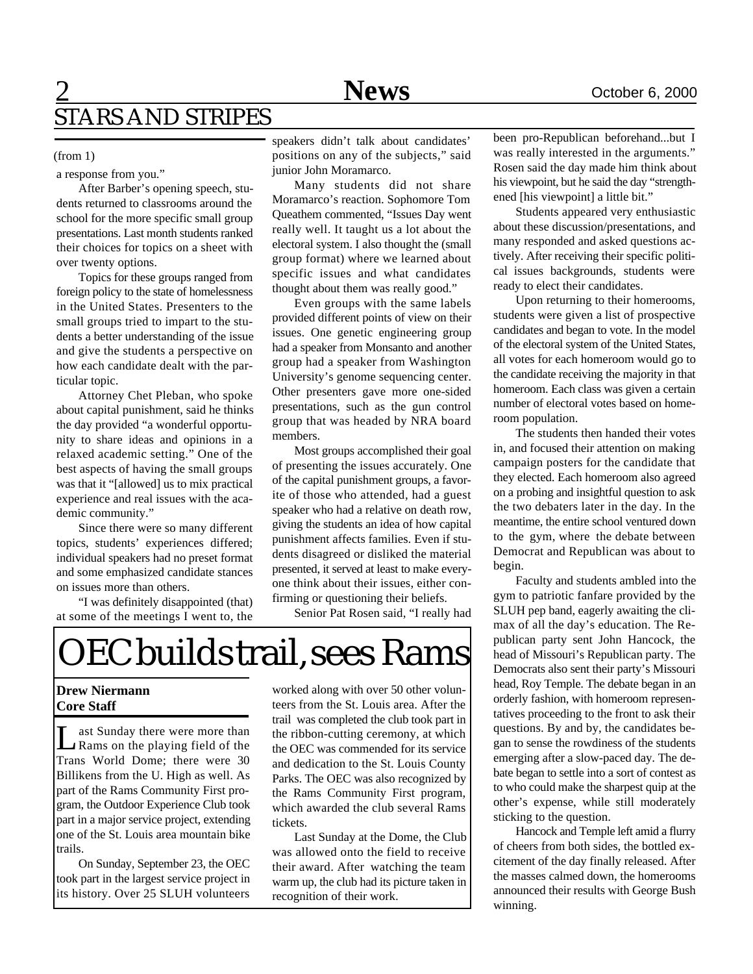### 2 **News** October 6, 2000 STARS AND STRIPES

#### (from 1)

a response from you."

After Barber's opening speech, students returned to classrooms around the school for the more specific small group presentations. Last month students ranked their choices for topics on a sheet with over twenty options.

Topics for these groups ranged from foreign policy to the state of homelessness in the United States. Presenters to the small groups tried to impart to the students a better understanding of the issue and give the students a perspective on how each candidate dealt with the particular topic.

Attorney Chet Pleban, who spoke about capital punishment, said he thinks the day provided "a wonderful opportunity to share ideas and opinions in a relaxed academic setting." One of the best aspects of having the small groups was that it "[allowed] us to mix practical experience and real issues with the academic community."

Since there were so many different topics, students' experiences differed; individual speakers had no preset format and some emphasized candidate stances on issues more than others.

"I was definitely disappointed (that) at some of the meetings I went to, the speakers didn't talk about candidates' positions on any of the subjects," said junior John Moramarco.

Many students did not share Moramarco's reaction. Sophomore Tom Queathem commented, "Issues Day went really well. It taught us a lot about the electoral system. I also thought the (small group format) where we learned about specific issues and what candidates thought about them was really good."

Even groups with the same labels provided different points of view on their issues. One genetic engineering group had a speaker from Monsanto and another group had a speaker from Washington University's genome sequencing center. Other presenters gave more one-sided presentations, such as the gun control group that was headed by NRA board members.

Most groups accomplished their goal of presenting the issues accurately. One of the capital punishment groups, a favorite of those who attended, had a guest speaker who had a relative on death row, giving the students an idea of how capital punishment affects families. Even if students disagreed or disliked the material presented, it served at least to make everyone think about their issues, either confirming or questioning their beliefs.

Senior Pat Rosen said, "I really had

# OEC builds trail, sees Rams

#### **Drew Niermann Core Staff**

**L** ast Sunday there were more than<br>Rams on the playing field of the ast Sunday there were more than Trans World Dome; there were 30 Billikens from the U. High as well. As part of the Rams Community First program, the Outdoor Experience Club took part in a major service project, extending one of the St. Louis area mountain bike trails.

On Sunday, September 23, the OEC took part in the largest service project in its history. Over 25 SLUH volunteers

worked along with over 50 other volunteers from the St. Louis area. After the trail was completed the club took part in the ribbon-cutting ceremony, at which the OEC was commended for its service and dedication to the St. Louis County Parks. The OEC was also recognized by the Rams Community First program, which awarded the club several Rams tickets.

Last Sunday at the Dome, the Club was allowed onto the field to receive their award. After watching the team warm up, the club had its picture taken in recognition of their work.

been pro-Republican beforehand...but I was really interested in the arguments." Rosen said the day made him think about his viewpoint, but he said the day "strengthened [his viewpoint] a little bit."

Students appeared very enthusiastic about these discussion/presentations, and many responded and asked questions actively. After receiving their specific political issues backgrounds, students were ready to elect their candidates.

Upon returning to their homerooms, students were given a list of prospective candidates and began to vote. In the model of the electoral system of the United States, all votes for each homeroom would go to the candidate receiving the majority in that homeroom. Each class was given a certain number of electoral votes based on homeroom population.

The students then handed their votes in, and focused their attention on making campaign posters for the candidate that they elected. Each homeroom also agreed on a probing and insightful question to ask the two debaters later in the day. In the meantime, the entire school ventured down to the gym, where the debate between Democrat and Republican was about to begin.

Faculty and students ambled into the gym to patriotic fanfare provided by the SLUH pep band, eagerly awaiting the climax of all the day's education. The Republican party sent John Hancock, the head of Missouri's Republican party. The Democrats also sent their party's Missouri head, Roy Temple. The debate began in an orderly fashion, with homeroom representatives proceeding to the front to ask their questions. By and by, the candidates began to sense the rowdiness of the students emerging after a slow-paced day. The debate began to settle into a sort of contest as to who could make the sharpest quip at the other's expense, while still moderately sticking to the question.

Hancock and Temple left amid a flurry of cheers from both sides, the bottled excitement of the day finally released. After the masses calmed down, the homerooms announced their results with George Bush winning.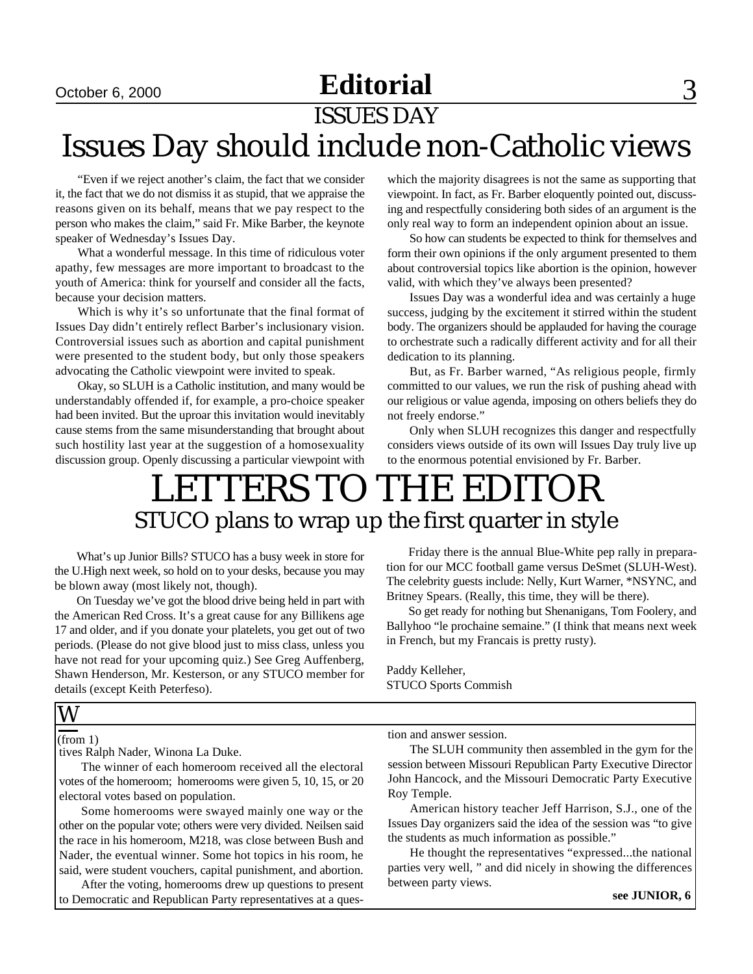### October 6, 2000 **Editorial** 3

ISSUES DAY

# Issues Day should include non-Catholic views

"Even if we reject another's claim, the fact that we consider it, the fact that we do not dismiss it as stupid, that we appraise the reasons given on its behalf, means that we pay respect to the person who makes the claim," said Fr. Mike Barber, the keynote speaker of Wednesday's Issues Day.

What a wonderful message. In this time of ridiculous voter apathy, few messages are more important to broadcast to the youth of America: think for yourself and consider all the facts, because your decision matters.

Which is why it's so unfortunate that the final format of Issues Day didn't entirely reflect Barber's inclusionary vision. Controversial issues such as abortion and capital punishment were presented to the student body, but only those speakers advocating the Catholic viewpoint were invited to speak.

Okay, so SLUH is a Catholic institution, and many would be understandably offended if, for example, a pro-choice speaker had been invited. But the uproar this invitation would inevitably cause stems from the same misunderstanding that brought about such hostility last year at the suggestion of a homosexuality discussion group. Openly discussing a particular viewpoint with which the majority disagrees is not the same as supporting that viewpoint. In fact, as Fr. Barber eloquently pointed out, discussing and respectfully considering both sides of an argument is the only real way to form an independent opinion about an issue.

So how can students be expected to think for themselves and form their own opinions if the only argument presented to them about controversial topics like abortion is the opinion, however valid, with which they've always been presented?

Issues Day was a wonderful idea and was certainly a huge success, judging by the excitement it stirred within the student body. The organizers should be applauded for having the courage to orchestrate such a radically different activity and for all their dedication to its planning.

But, as Fr. Barber warned, "As religious people, firmly committed to our values, we run the risk of pushing ahead with our religious or value agenda, imposing on others beliefs they do not freely endorse."

Only when SLUH recognizes this danger and respectfully considers views outside of its own will Issues Day truly live up to the enormous potential envisioned by Fr. Barber.

### LETTERS TO THE EDITOR STUCO plans to wrap up the first quarter in style

What's up Junior Bills? STUCO has a busy week in store for the U.High next week, so hold on to your desks, because you may be blown away (most likely not, though).

On Tuesday we've got the blood drive being held in part with the American Red Cross. It's a great cause for any Billikens age 17 and older, and if you donate your platelets, you get out of two periods. (Please do not give blood just to miss class, unless you have not read for your upcoming quiz.) See Greg Auffenberg, Shawn Henderson, Mr. Kesterson, or any STUCO member for details (except Keith Peterfeso).

Friday there is the annual Blue-White pep rally in preparation for our MCC football game versus DeSmet (SLUH-West). The celebrity guests include: Nelly, Kurt Warner, \*NSYNC, and Britney Spears. (Really, this time, they will be there).

So get ready for nothing but Shenanigans, Tom Foolery, and Ballyhoo "le prochaine semaine." (I think that means next week in French, but my Francais is pretty rusty).

Paddy Kelleher, STUCO Sports Commish

#### W

#### (from 1)

tives Ralph Nader, Winona La Duke.

The winner of each homeroom received all the electoral votes of the homeroom; homerooms were given 5, 10, 15, or 20 electoral votes based on population.

Some homerooms were swayed mainly one way or the other on the popular vote; others were very divided. Neilsen said the race in his homeroom, M218, was close between Bush and Nader, the eventual winner. Some hot topics in his room, he said, were student vouchers, capital punishment, and abortion.

After the voting, homerooms drew up questions to present to Democratic and Republican Party representatives at a question and answer session.

The SLUH community then assembled in the gym for the session between Missouri Republican Party Executive Director John Hancock, and the Missouri Democratic Party Executive Roy Temple.

American history teacher Jeff Harrison, S.J., one of the Issues Day organizers said the idea of the session was "to give the students as much information as possible."

He thought the representatives "expressed...the national parties very well, " and did nicely in showing the differences between party views.

**see JUNIOR, 6**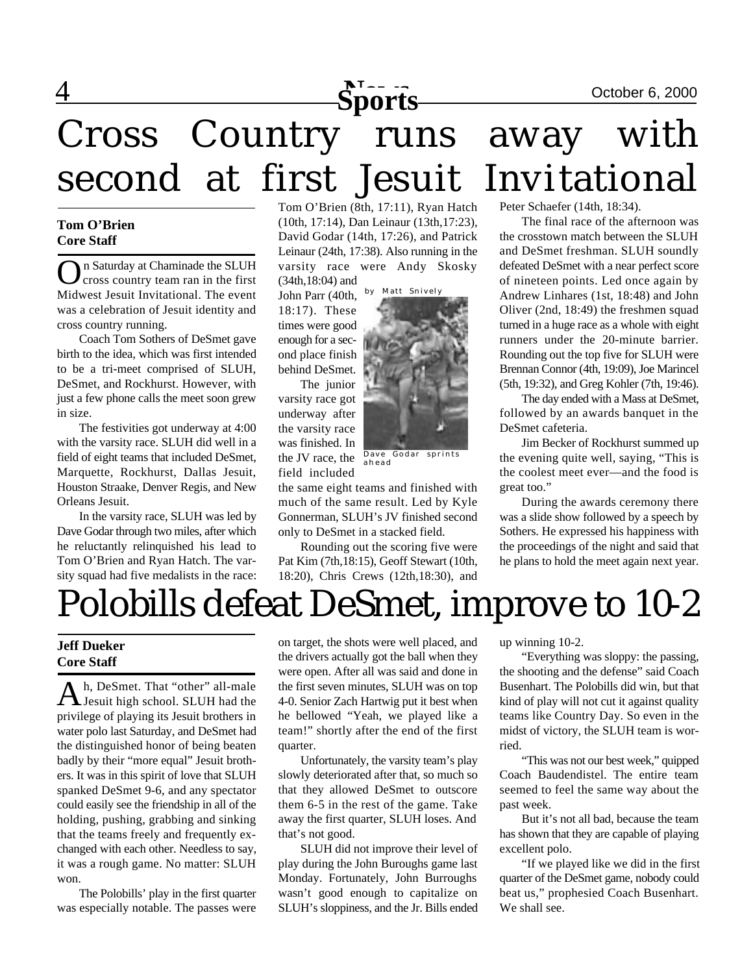

# 4 **News** October 6, 2000 **Sports** Cross Country runs away with second at first Jesuit Invitational

#### **Tom O'Brien Core Staff**

O n Saturday at Chaminade the SLUH cross country team ran in the first Midwest Jesuit Invitational. The event was a celebration of Jesuit identity and cross country running.

Coach Tom Sothers of DeSmet gave birth to the idea, which was first intended to be a tri-meet comprised of SLUH, DeSmet, and Rockhurst. However, with just a few phone calls the meet soon grew in size.

The festivities got underway at 4:00 with the varsity race. SLUH did well in a field of eight teams that included DeSmet, Marquette, Rockhurst, Dallas Jesuit, Houston Straake, Denver Regis, and New Orleans Jesuit.

In the varsity race, SLUH was led by Dave Godar through two miles, after which he reluctantly relinquished his lead to Tom O'Brien and Ryan Hatch. The varsity squad had five medalists in the race: Tom O'Brien (8th, 17:11), Ryan Hatch (10th, 17:14), Dan Leinaur (13th,17:23), David Godar (14th, 17:26), and Patrick Leinaur (24th, 17:38). Also running in the varsity race were Andy Skosky (34th,18:04) and

John Parr (40th, 18:17). These times were good enough for a second place finish behind DeSmet.

The junior varsity race got underway after the varsity race was finished. In the JV race, the field included

the same eight teams and finished with much of the same result. Led by Kyle Gonnerman, SLUH's JV finished second only to DeSmet in a stacked field.

ahead

Rounding out the scoring five were Pat Kim (7th,18:15), Geoff Stewart (10th, 18:20), Chris Crews (12th,18:30), and

Peter Schaefer (14th, 18:34).

The final race of the afternoon was the crosstown match between the SLUH and DeSmet freshman. SLUH soundly defeated DeSmet with a near perfect score of nineteen points. Led once again by Andrew Linhares (1st, 18:48) and John Oliver (2nd, 18:49) the freshmen squad turned in a huge race as a whole with eight runners under the 20-minute barrier. Rounding out the top five for SLUH were Brennan Connor (4th, 19:09), Joe Marincel (5th, 19:32), and Greg Kohler (7th, 19:46).

The day ended with a Mass at DeSmet, followed by an awards banquet in the DeSmet cafeteria.

Jim Becker of Rockhurst summed up the evening quite well, saying, "This is the coolest meet ever—and the food is great too."

During the awards ceremony there was a slide show followed by a speech by Sothers. He expressed his happiness with the proceedings of the night and said that he plans to hold the meet again next year.

# Polobills defeat DeSmet, improve to 10-2

#### **Jeff Dueker Core Staff**

A h, DeSmet. That "other" all-male<br>Jesuit high school. SLUH had the h, DeSmet. That "other" all-male privilege of playing its Jesuit brothers in water polo last Saturday, and DeSmet had the distinguished honor of being beaten badly by their "more equal" Jesuit brothers. It was in this spirit of love that SLUH spanked DeSmet 9-6, and any spectator could easily see the friendship in all of the holding, pushing, grabbing and sinking that the teams freely and frequently exchanged with each other. Needless to say, it was a rough game. No matter: SLUH won.

The Polobills' play in the first quarter was especially notable. The passes were

on target, the shots were well placed, and the drivers actually got the ball when they were open. After all was said and done in the first seven minutes, SLUH was on top 4-0. Senior Zach Hartwig put it best when he bellowed "Yeah, we played like a team!" shortly after the end of the first quarter.

Unfortunately, the varsity team's play slowly deteriorated after that, so much so that they allowed DeSmet to outscore them 6-5 in the rest of the game. Take away the first quarter, SLUH loses. And that's not good.

SLUH did not improve their level of play during the John Buroughs game last Monday. Fortunately, John Burroughs wasn't good enough to capitalize on SLUH's sloppiness, and the Jr. Bills ended up winning 10-2.

"Everything was sloppy: the passing, the shooting and the defense" said Coach Busenhart. The Polobills did win, but that kind of play will not cut it against quality teams like Country Day. So even in the midst of victory, the SLUH team is worried.

"This was not our best week," quipped Coach Baudendistel. The entire team seemed to feel the same way about the past week.

But it's not all bad, because the team has shown that they are capable of playing excellent polo.

"If we played like we did in the first quarter of the DeSmet game, nobody could beat us," prophesied Coach Busenhart. We shall see.

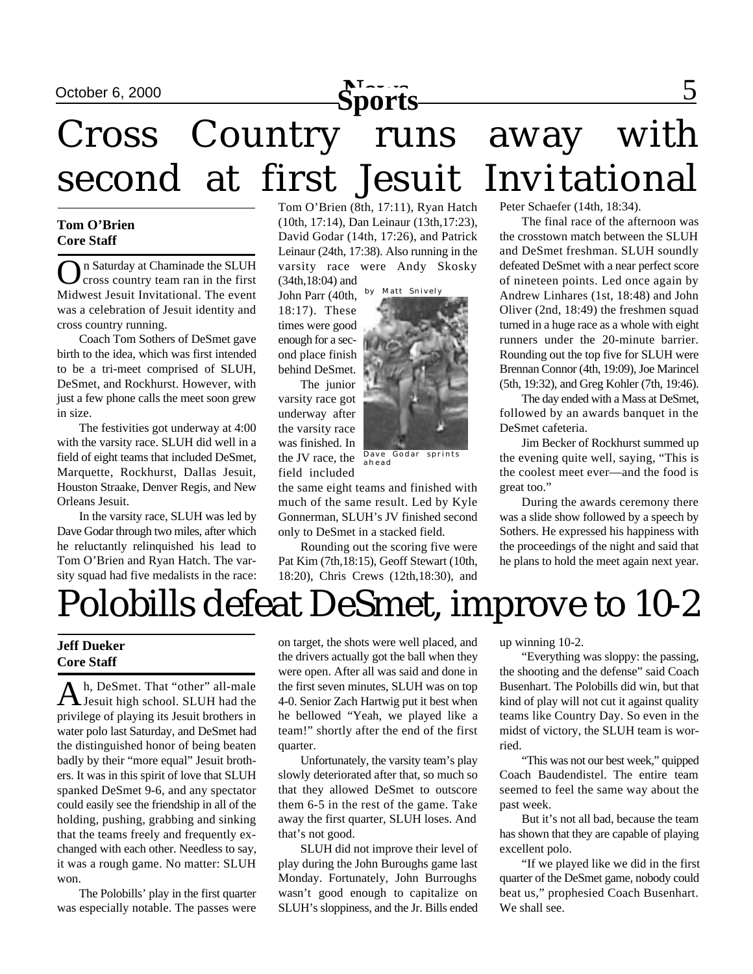

# Cross Country runs away with second at first Jesuit Invitational

#### **Tom O'Brien Core Staff**

O n Saturday at Chaminade the SLUH cross country team ran in the first Midwest Jesuit Invitational. The event was a celebration of Jesuit identity and cross country running.

Coach Tom Sothers of DeSmet gave birth to the idea, which was first intended to be a tri-meet comprised of SLUH, DeSmet, and Rockhurst. However, with just a few phone calls the meet soon grew in size.

The festivities got underway at 4:00 with the varsity race. SLUH did well in a field of eight teams that included DeSmet, Marquette, Rockhurst, Dallas Jesuit, Houston Straake, Denver Regis, and New Orleans Jesuit.

In the varsity race, SLUH was led by Dave Godar through two miles, after which he reluctantly relinquished his lead to Tom O'Brien and Ryan Hatch. The varsity squad had five medalists in the race: Tom O'Brien (8th, 17:11), Ryan Hatch (10th, 17:14), Dan Leinaur (13th,17:23), David Godar (14th, 17:26), and Patrick Leinaur (24th, 17:38). Also running in the varsity race were Andy Skosky (34th,18:04) and

John Parr (40th, 18:17). These times were good enough for a second place finish behind DeSmet.

The junior varsity race got underway after the varsity race was finished. In the JV race, the field included

the same eight teams and finished with much of the same result. Led by Kyle Gonnerman, SLUH's JV finished second only to DeSmet in a stacked field.

Rounding out the scoring five were Pat Kim (7th,18:15), Geoff Stewart (10th, 18:20), Chris Crews (12th,18:30), and

Peter Schaefer (14th, 18:34).

The final race of the afternoon was the crosstown match between the SLUH and DeSmet freshman. SLUH soundly defeated DeSmet with a near perfect score of nineteen points. Led once again by Andrew Linhares (1st, 18:48) and John Oliver (2nd, 18:49) the freshmen squad turned in a huge race as a whole with eight runners under the 20-minute barrier. Rounding out the top five for SLUH were Brennan Connor (4th, 19:09), Joe Marincel (5th, 19:32), and Greg Kohler (7th, 19:46).

The day ended with a Mass at DeSmet, followed by an awards banquet in the DeSmet cafeteria.

Jim Becker of Rockhurst summed up the evening quite well, saying, "This is the coolest meet ever—and the food is great too."

During the awards ceremony there was a slide show followed by a speech by Sothers. He expressed his happiness with the proceedings of the night and said that he plans to hold the meet again next year.

# Polobills defeat DeSmet, improve to 10-2

#### **Jeff Dueker Core Staff**

A h, DeSmet. That "other" all-male<br>Jesuit high school. SLUH had the h, DeSmet. That "other" all-male privilege of playing its Jesuit brothers in water polo last Saturday, and DeSmet had the distinguished honor of being beaten badly by their "more equal" Jesuit brothers. It was in this spirit of love that SLUH spanked DeSmet 9-6, and any spectator could easily see the friendship in all of the holding, pushing, grabbing and sinking that the teams freely and frequently exchanged with each other. Needless to say, it was a rough game. No matter: SLUH won.

The Polobills' play in the first quarter was especially notable. The passes were

on target, the shots were well placed, and the drivers actually got the ball when they were open. After all was said and done in the first seven minutes, SLUH was on top 4-0. Senior Zach Hartwig put it best when he bellowed "Yeah, we played like a team!" shortly after the end of the first quarter.

Unfortunately, the varsity team's play slowly deteriorated after that, so much so that they allowed DeSmet to outscore them 6-5 in the rest of the game. Take away the first quarter, SLUH loses. And that's not good.

SLUH did not improve their level of play during the John Buroughs game last Monday. Fortunately, John Burroughs wasn't good enough to capitalize on SLUH's sloppiness, and the Jr. Bills ended up winning 10-2.

"Everything was sloppy: the passing, the shooting and the defense" said Coach Busenhart. The Polobills did win, but that kind of play will not cut it against quality teams like Country Day. So even in the midst of victory, the SLUH team is worried.

"This was not our best week," quipped Coach Baudendistel. The entire team seemed to feel the same way about the past week.

But it's not all bad, because the team has shown that they are capable of playing excellent polo.

"If we played like we did in the first quarter of the DeSmet game, nobody could beat us," prophesied Coach Busenhart. We shall see.



ahead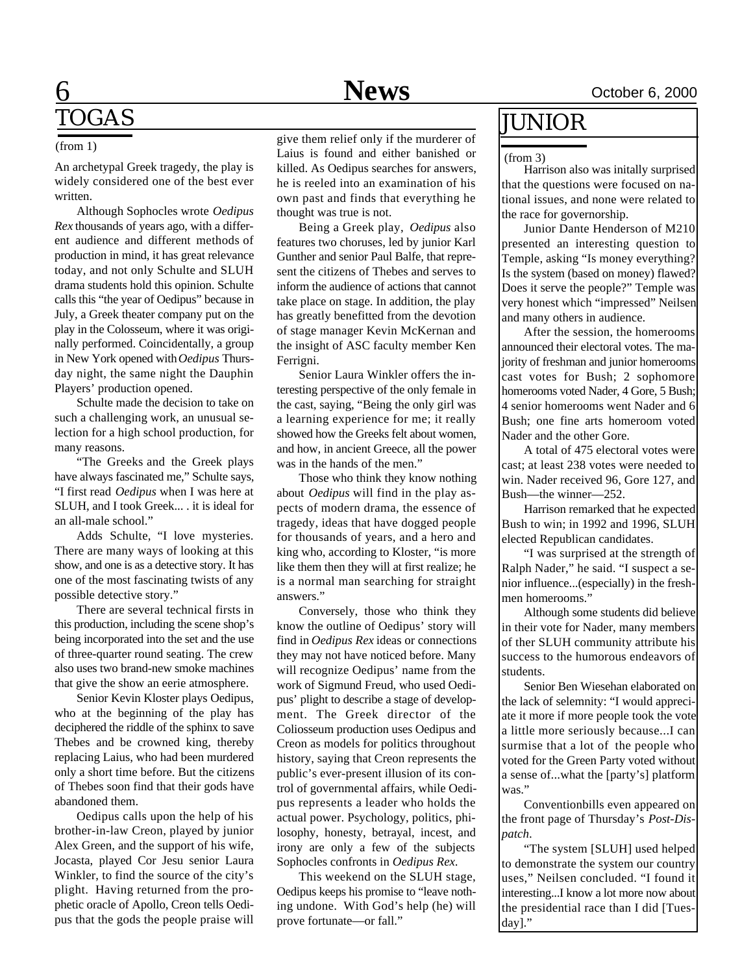### 6 **News** October 6, 2000 TOGAS

#### (from 1)

An archetypal Greek tragedy, the play is widely considered one of the best ever written.

Although Sophocles wrote *Oedipus Rex* thousands of years ago, with a different audience and different methods of production in mind, it has great relevance today, and not only Schulte and SLUH drama students hold this opinion. Schulte calls this "the year of Oedipus" because in July, a Greek theater company put on the play in the Colosseum, where it was originally performed. Coincidentally, a group in New York opened with *Oedipus* Thursday night, the same night the Dauphin Players' production opened.

Schulte made the decision to take on such a challenging work, an unusual selection for a high school production, for many reasons.

"The Greeks and the Greek plays have always fascinated me," Schulte says, "I first read *Oedipus* when I was here at SLUH, and I took Greek... . it is ideal for an all-male school."

Adds Schulte, "I love mysteries. There are many ways of looking at this show, and one is as a detective story. It has one of the most fascinating twists of any possible detective story."

There are several technical firsts in this production, including the scene shop's being incorporated into the set and the use of three-quarter round seating. The crew also uses two brand-new smoke machines that give the show an eerie atmosphere.

Senior Kevin Kloster plays Oedipus, who at the beginning of the play has deciphered the riddle of the sphinx to save Thebes and be crowned king, thereby replacing Laius, who had been murdered only a short time before. But the citizens of Thebes soon find that their gods have abandoned them.

Oedipus calls upon the help of his brother-in-law Creon, played by junior Alex Green, and the support of his wife, Jocasta, played Cor Jesu senior Laura Winkler, to find the source of the city's plight. Having returned from the prophetic oracle of Apollo, Creon tells Oedipus that the gods the people praise will give them relief only if the murderer of Laius is found and either banished or killed. As Oedipus searches for answers, he is reeled into an examination of his own past and finds that everything he thought was true is not.

Being a Greek play, *Oedipus* also features two choruses, led by junior Karl Gunther and senior Paul Balfe, that represent the citizens of Thebes and serves to inform the audience of actions that cannot take place on stage. In addition, the play has greatly benefitted from the devotion of stage manager Kevin McKernan and the insight of ASC faculty member Ken Ferrigni.

Senior Laura Winkler offers the interesting perspective of the only female in the cast, saying, "Being the only girl was a learning experience for me; it really showed how the Greeks felt about women, and how, in ancient Greece, all the power was in the hands of the men."

Those who think they know nothing about *Oedipus* will find in the play aspects of modern drama, the essence of tragedy, ideas that have dogged people for thousands of years, and a hero and king who, according to Kloster, "is more like them then they will at first realize; he is a normal man searching for straight answers."

Conversely, those who think they know the outline of Oedipus' story will find in *Oedipus Rex* ideas or connections they may not have noticed before. Many will recognize Oedipus' name from the work of Sigmund Freud, who used Oedipus' plight to describe a stage of development. The Greek director of the Coliosseum production uses Oedipus and Creon as models for politics throughout history, saying that Creon represents the public's ever-present illusion of its control of governmental affairs, while Oedipus represents a leader who holds the actual power. Psychology, politics, philosophy, honesty, betrayal, incest, and irony are only a few of the subjects Sophocles confronts in *Oedipus Rex*.

This weekend on the SLUH stage, Oedipus keeps his promise to "leave nothing undone. With God's help (he) will prove fortunate—or fall."

### JUNIOR

#### (from 3)

Harrison also was initally surprised that the questions were focused on national issues, and none were related to the race for governorship.

Junior Dante Henderson of M210 presented an interesting question to Temple, asking "Is money everything? Is the system (based on money) flawed? Does it serve the people?" Temple was very honest which "impressed" Neilsen and many others in audience.

After the session, the homerooms announced their electoral votes. The majority of freshman and junior homerooms cast votes for Bush; 2 sophomore homerooms voted Nader, 4 Gore, 5 Bush; 4 senior homerooms went Nader and 6 Bush; one fine arts homeroom voted Nader and the other Gore.

A total of 475 electoral votes were cast; at least 238 votes were needed to win. Nader received 96, Gore 127, and Bush—the winner—252.

Harrison remarked that he expected Bush to win; in 1992 and 1996, SLUH elected Republican candidates.

"I was surprised at the strength of Ralph Nader," he said. "I suspect a senior influence...(especially) in the freshmen homerooms."

Although some students did believe in their vote for Nader, many members of ther SLUH community attribute his success to the humorous endeavors of students.

Senior Ben Wiesehan elaborated on the lack of selemnity: "I would appreciate it more if more people took the vote a little more seriously because...I can surmise that a lot of the people who voted for the Green Party voted without a sense of...what the [party's] platform was."

Conventionbills even appeared on the front page of Thursday's *Post-Dispatch*.

"The system [SLUH] used helped to demonstrate the system our country uses," Neilsen concluded. "I found it interesting...I know a lot more now about the presidential race than I did [Tuesday]."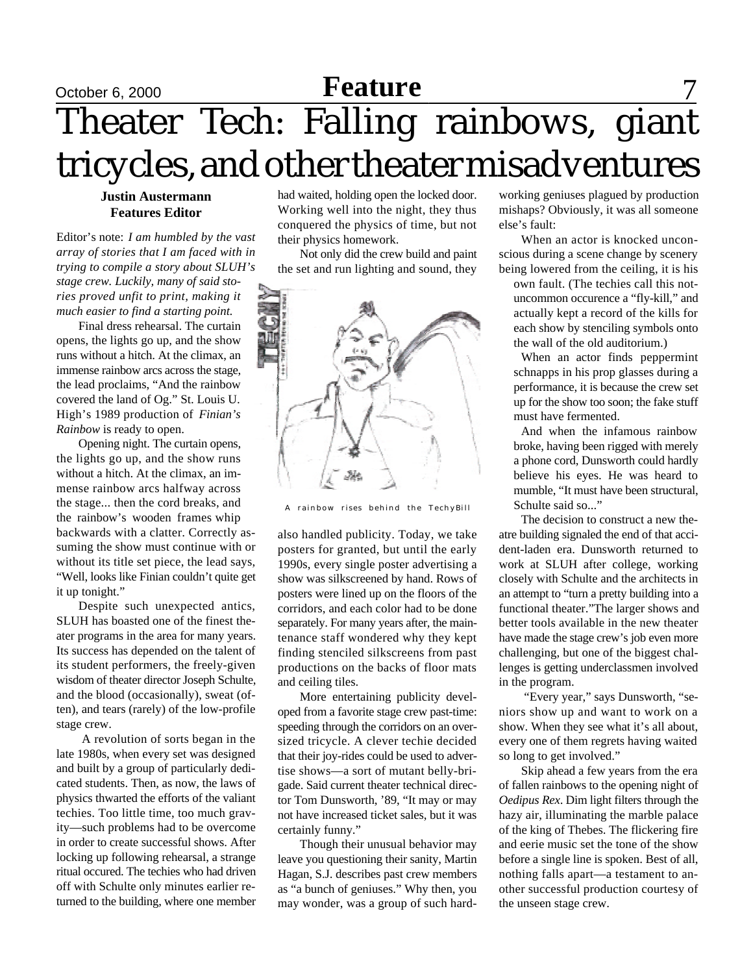# October 6, 2000 **Feature Feature** 7 Theater Tech: Falling rainbows, giant tricycles, and other theater misadventures

#### **Justin Austermann Features Editor**

Editor's note: *I am humbled by the vast array of stories that I am faced with in trying to compile a story about SLUH's stage crew. Luckily, many of said stories proved unfit to print, making it much easier to find a starting point.*

Final dress rehearsal. The curtain opens, the lights go up, and the show runs without a hitch. At the climax, an immense rainbow arcs across the stage, the lead proclaims, "And the rainbow covered the land of Og." St. Louis U. High's 1989 production of *Finian's Rainbow* is ready to open.

Opening night. The curtain opens, the lights go up, and the show runs without a hitch. At the climax, an immense rainbow arcs halfway across the stage... then the cord breaks, and the rainbow's wooden frames whip backwards with a clatter. Correctly assuming the show must continue with or without its title set piece, the lead says, "Well, looks like Finian couldn't quite get it up tonight."

Despite such unexpected antics, SLUH has boasted one of the finest theater programs in the area for many years. Its success has depended on the talent of its student performers, the freely-given wisdom of theater director Joseph Schulte, and the blood (occasionally), sweat (often), and tears (rarely) of the low-profile stage crew.

 A revolution of sorts began in the late 1980s, when every set was designed and built by a group of particularly dedicated students. Then, as now, the laws of physics thwarted the efforts of the valiant techies. Too little time, too much gravity—such problems had to be overcome in order to create successful shows. After locking up following rehearsal, a strange ritual occured. The techies who had driven off with Schulte only minutes earlier returned to the building, where one member had waited, holding open the locked door. Working well into the night, they thus conquered the physics of time, but not their physics homework.

Not only did the crew build and paint the set and run lighting and sound, they



A rainbow rises behind the TechyBill

also handled publicity. Today, we take posters for granted, but until the early 1990s, every single poster advertising a show was silkscreened by hand. Rows of posters were lined up on the floors of the corridors, and each color had to be done separately. For many years after, the maintenance staff wondered why they kept finding stenciled silkscreens from past productions on the backs of floor mats and ceiling tiles.

More entertaining publicity developed from a favorite stage crew past-time: speeding through the corridors on an oversized tricycle. A clever techie decided that their joy-rides could be used to advertise shows—a sort of mutant belly-brigade. Said current theater technical director Tom Dunsworth, '89, "It may or may not have increased ticket sales, but it was certainly funny."

Though their unusual behavior may leave you questioning their sanity, Martin Hagan, S.J. describes past crew members as "a bunch of geniuses." Why then, you may wonder, was a group of such hardworking geniuses plagued by production mishaps? Obviously, it was all someone else's fault:

When an actor is knocked unconscious during a scene change by scenery being lowered from the ceiling, it is his

own fault. (The techies call this notuncommon occurence a "fly-kill," and actually kept a record of the kills for each show by stenciling symbols onto the wall of the old auditorium.)

When an actor finds peppermint schnapps in his prop glasses during a performance, it is because the crew set up for the show too soon; the fake stuff must have fermented.

And when the infamous rainbow broke, having been rigged with merely a phone cord, Dunsworth could hardly believe his eyes. He was heard to mumble, "It must have been structural, Schulte said so..."

The decision to construct a new theatre building signaled the end of that accident-laden era. Dunsworth returned to work at SLUH after college, working closely with Schulte and the architects in an attempt to "turn a pretty building into a functional theater."The larger shows and better tools available in the new theater have made the stage crew's job even more challenging, but one of the biggest challenges is getting underclassmen involved in the program.

 "Every year," says Dunsworth, "seniors show up and want to work on a show. When they see what it's all about, every one of them regrets having waited so long to get involved."

Skip ahead a few years from the era of fallen rainbows to the opening night of *Oedipus Rex*. Dim light filters through the hazy air, illuminating the marble palace of the king of Thebes. The flickering fire and eerie music set the tone of the show before a single line is spoken. Best of all, nothing falls apart—a testament to another successful production courtesy of the unseen stage crew.